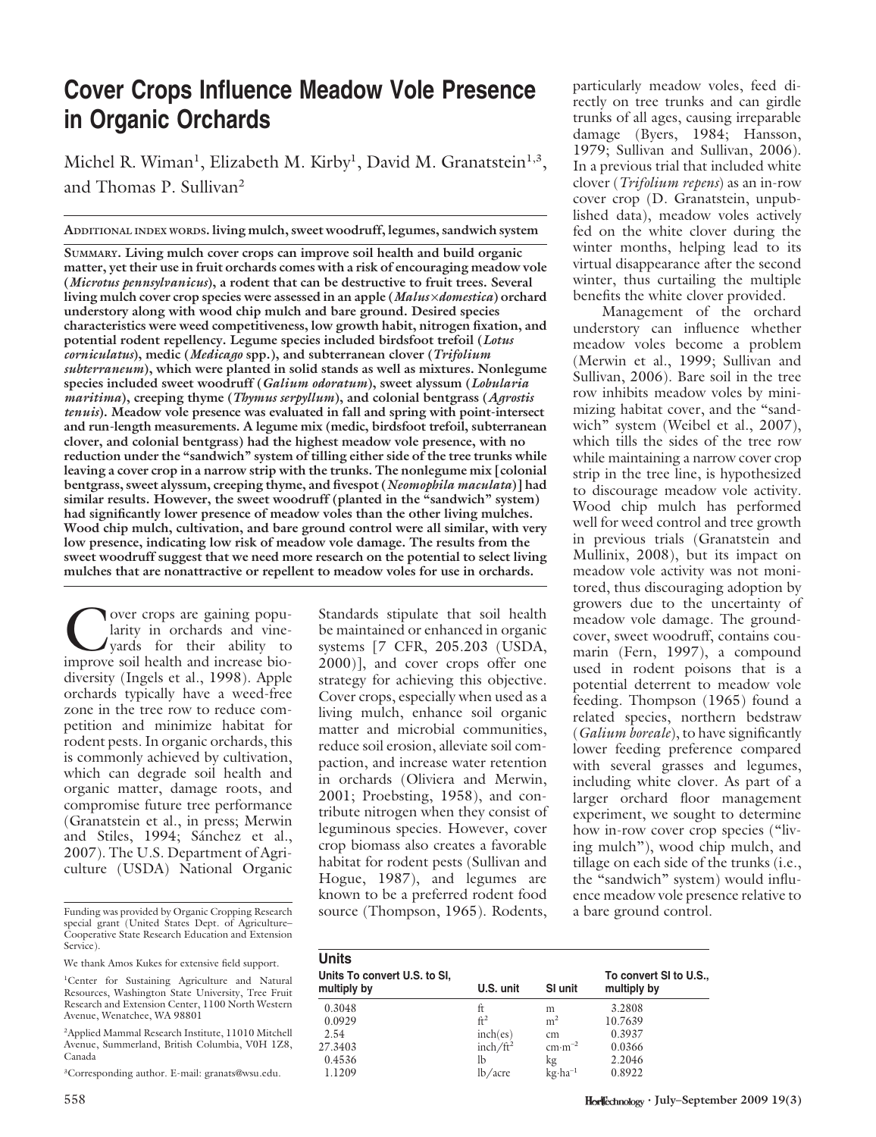## Cover Crops Influence Meadow Vole Presence in Organic Orchards

Michel R. Wiman<sup>1</sup>, Elizabeth M. Kirby<sup>1</sup>, David M. Granatstein<sup>1,3</sup>, and Thomas P. Sullivan<sup>2</sup>

ADDITIONAL INDEX WORDS. living mulch, sweet woodruff, legumes, sandwich system

SUMMARY. Living mulch cover crops can improve soil health and build organic matter, yet their use in fruit orchards comes with a risk of encouraging meadow vole (Microtus pennsylvanicus), a rodent that can be destructive to fruit trees. Several living mulch cover crop species were assessed in an apple (*Malus ×domestica*) orchard understory along with wood chip mulch and bare ground. Desired species characteristics were weed competitiveness, low growth habit, nitrogen fixation, and potential rodent repellency. Legume species included birdsfoot trefoil (Lotus corniculatus), medic (Medicago spp.), and subterranean clover (Trifolium subterraneum), which were planted in solid stands as well as mixtures. Nonlegume species included sweet woodruff (Galium odoratum), sweet alyssum (Lobularia maritima), creeping thyme (Thymus serpyllum), and colonial bentgrass (Agrostis tenuis). Meadow vole presence was evaluated in fall and spring with point-intersect and run-length measurements. A legume mix (medic, birdsfoot trefoil, subterranean clover, and colonial bentgrass) had the highest meadow vole presence, with no reduction under the "sandwich" system of tilling either side of the tree trunks while leaving a cover crop in a narrow strip with the trunks. The nonlegume mix [colonial bentgrass, sweet alyssum, creeping thyme, and fivespot (Neomophila maculata)] had similar results. However, the sweet woodruff (planted in the "sandwich" system) had significantly lower presence of meadow voles than the other living mulches. Wood chip mulch, cultivation, and bare ground control were all similar, with very low presence, indicating low risk of meadow vole damage. The results from the sweet woodruff suggest that we need more research on the potential to select living mulches that are nonattractive or repellent to meadow voles for use in orchards.

Over crops are gaining popularity in orchards and vine-<br>yards for their ability to<br>improve soil health and increase biolarity in orchards and vineyards for their ability to improve soil health and increase biodiversity (Ingels et al., 1998). Apple orchards typically have a weed-free zone in the tree row to reduce competition and minimize habitat for rodent pests. In organic orchards, this is commonly achieved by cultivation, which can degrade soil health and organic matter, damage roots, and compromise future tree performance (Granatstein et al., in press; Merwin and Stiles, 1994; Sánchez et al., 2007). The U.S. Department of Agriculture (USDA) National Organic

Funding was provided by Organic Cropping Research special grant (United States Dept. of Agriculture– Cooperative State Research Education and Extension Service).

We thank Amos Kukes for extensive field support.

2 Applied Mammal Research Institute, 11010 Mitchell Avenue, Summerland, British Columbia, V0H 1Z8, Canada

3 Corresponding author. E-mail: granats@wsu.edu.

Standards stipulate that soil health be maintained or enhanced in organic systems [7 CFR, 205.203 (USDA, 2000)], and cover crops offer one strategy for achieving this objective. Cover crops, especially when used as a living mulch, enhance soil organic matter and microbial communities, reduce soil erosion, alleviate soil compaction, and increase water retention in orchards (Oliviera and Merwin, 2001; Proebsting, 1958), and contribute nitrogen when they consist of leguminous species. However, cover crop biomass also creates a favorable habitat for rodent pests (Sullivan and Hogue, 1987), and legumes are known to be a preferred rodent food source (Thompson, 1965). Rodents, particularly meadow voles, feed directly on tree trunks and can girdle trunks of all ages, causing irreparable damage (Byers, 1984; Hansson, 1979; Sullivan and Sullivan, 2006). In a previous trial that included white clover (Trifolium repens) as an in-row cover crop (D. Granatstein, unpublished data), meadow voles actively fed on the white clover during the winter months, helping lead to its virtual disappearance after the second winter, thus curtailing the multiple benefits the white clover provided.

Management of the orchard understory can influence whether meadow voles become a problem (Merwin et al., 1999; Sullivan and Sullivan, 2006). Bare soil in the tree row inhibits meadow voles by minimizing habitat cover, and the "sandwich" system (Weibel et al., 2007), which tills the sides of the tree row while maintaining a narrow cover crop strip in the tree line, is hypothesized to discourage meadow vole activity. Wood chip mulch has performed well for weed control and tree growth in previous trials (Granatstein and Mullinix, 2008), but its impact on meadow vole activity was not monitored, thus discouraging adoption by growers due to the uncertainty of meadow vole damage. The groundcover, sweet woodruff, contains coumarin (Fern, 1997), a compound used in rodent poisons that is a potential deterrent to meadow vole feeding. Thompson (1965) found a related species, northern bedstraw (Galium boreale), to have significantly lower feeding preference compared with several grasses and legumes, including white clover. As part of a larger orchard floor management experiment, we sought to determine how in-row cover crop species ("living mulch''), wood chip mulch, and tillage on each side of the trunks (i.e., the "sandwich" system) would influence meadow vole presence relative to a bare ground control.

| <b>Units</b>                                |                      |                               |                                       |  |
|---------------------------------------------|----------------------|-------------------------------|---------------------------------------|--|
| Units To convert U.S. to SI,<br>multiply by | U.S. unit            | SI unit                       | To convert SI to U.S.,<br>multiply by |  |
| 0.3048                                      | ft                   | m                             | 3.2808                                |  |
| 0.0929                                      | ft <sup>2</sup>      | m <sup>2</sup>                | 10.7639                               |  |
| 2.54                                        | inch(es)             | cm                            | 0.3937                                |  |
| 27.3403                                     | inch/ft <sup>2</sup> | $\text{cm}\cdot\text{m}^{-2}$ | 0.0366                                |  |
| 0.4536                                      | lb                   | kg                            | 2.2046                                |  |
| 1.1209                                      | lb/accre             | $kg \cdot ha^{-1}$            | 0.8922                                |  |

<sup>&</sup>lt;sup>1</sup>Center for Sustaining Agriculture and Natural Resources, Washington State University, Tree Fruit Research and Extension Center, 1100 North Western Avenue, Wenatchee, WA 98801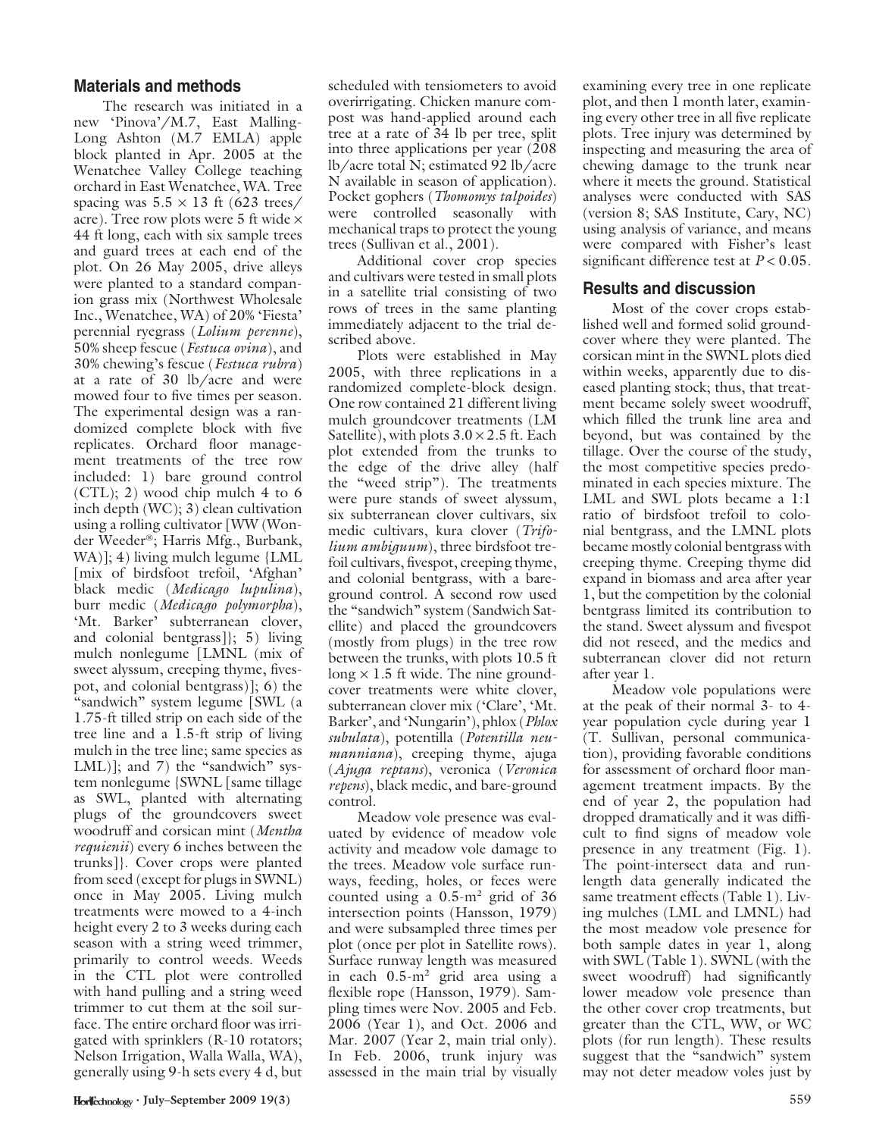## Materials and methods

The research was initiated in a new 'Pinova'/M.7, East Malling-Long Ashton (M.7 EMLA) apple block planted in Apr. 2005 at the Wenatchee Valley College teaching orchard in East Wenatchee, WA. Tree spacing was  $5.5 \times 13$  ft (623 trees/ acre). Tree row plots were 5 ft wide  $\times$ 44 ft long, each with six sample trees and guard trees at each end of the plot. On 26 May 2005, drive alleys were planted to a standard companion grass mix (Northwest Wholesale Inc., Wenatchee, WA) of 20% 'Fiesta' perennial ryegrass (Lolium perenne), 50% sheep fescue (Festuca ovina), and 30% chewing's fescue (Festuca rubra) at a rate of 30 lb/acre and were mowed four to five times per season. The experimental design was a randomized complete block with five replicates. Orchard floor management treatments of the tree row included: 1) bare ground control (CTL); 2) wood chip mulch 4 to 6 inch depth (WC); 3) clean cultivation using a rolling cultivator [WW (Wonder Weeder®; Harris Mfg., Burbank, WA)]; 4) living mulch legume {LML [mix of birdsfoot trefoil, 'Afghan' black medic (Medicago lupulina), burr medic (Medicago polymorpha), 'Mt. Barker' subterranean clover, and colonial bentgrass]}; 5) living mulch nonlegume [LMNL (mix of sweet alyssum, creeping thyme, fivespot, and colonial bentgrass)]; 6) the "sandwich" system legume [SWL (a 1.75-ft tilled strip on each side of the tree line and a 1.5-ft strip of living mulch in the tree line; same species as LML)]; and  $7$ ) the "sandwich" system nonlegume {SWNL [same tillage as SWL, planted with alternating plugs of the groundcovers sweet woodruff and corsican mint (Mentha *requienii*) every 6 inches between the trunks]}. Cover crops were planted from seed (except for plugs in SWNL) once in May 2005. Living mulch treatments were mowed to a 4-inch height every 2 to 3 weeks during each season with a string weed trimmer, primarily to control weeds. Weeds in the CTL plot were controlled with hand pulling and a string weed trimmer to cut them at the soil surface. The entire orchard floor was irrigated with sprinklers (R-10 rotators; Nelson Irrigation, Walla Walla, WA), generally using 9-h sets every 4 d, but

scheduled with tensiometers to avoid overirrigating. Chicken manure compost was hand-applied around each tree at a rate of 34 lb per tree, split into three applications per year (208 lb/acre total N; estimated 92 lb/acre N available in season of application). Pocket gophers (Thomomys talpoides) were controlled seasonally with mechanical traps to protect the young trees (Sullivan et al., 2001).

Additional cover crop species and cultivars were tested in small plots in a satellite trial consisting of two rows of trees in the same planting immediately adjacent to the trial described above.

Plots were established in May 2005, with three replications in a randomized complete-block design. One row contained 21 different living mulch groundcover treatments (LM Satellite), with plots  $3.0 \times 2.5$  ft. Each plot extended from the trunks to the edge of the drive alley (half the ''weed strip''). The treatments were pure stands of sweet alyssum, six subterranean clover cultivars, six medic cultivars, kura clover (Trifolium ambiguum), three birdsfoot trefoil cultivars, fivespot, creeping thyme, and colonial bentgrass, with a bareground control. A second row used the "sandwich" system (Sandwich Satellite) and placed the groundcovers (mostly from plugs) in the tree row between the trunks, with plots 10.5 ft long  $\times$  1.5 ft wide. The nine groundcover treatments were white clover, subterranean clover mix ('Clare', 'Mt. Barker', and 'Nungarin'), phlox (Phlox subulata), potentilla (Potentilla neu*manniana*), creeping thyme, ajuga (Ajuga reptans), veronica (Veronica repens), black medic, and bare-ground control.

Meadow vole presence was evaluated by evidence of meadow vole activity and meadow vole damage to the trees. Meadow vole surface runways, feeding, holes, or feces were counted using a  $0.5 \text{ m}^2$  grid of 36 intersection points (Hansson, 1979) and were subsampled three times per plot (once per plot in Satellite rows). Surface runway length was measured in each 0.5-m<sup>2</sup> grid area using a flexible rope (Hansson, 1979). Sampling times were Nov. 2005 and Feb. 2006 (Year 1), and Oct. 2006 and Mar. 2007 (Year 2, main trial only). In Feb. 2006, trunk injury was assessed in the main trial by visually

examining every tree in one replicate plot, and then 1 month later, examining every other tree in all five replicate plots. Tree injury was determined by inspecting and measuring the area of chewing damage to the trunk near where it meets the ground. Statistical analyses were conducted with SAS (version 8; SAS Institute, Cary, NC) using analysis of variance, and means were compared with Fisher's least significant difference test at  $P < 0.05$ .

## Results and discussion

Most of the cover crops established well and formed solid groundcover where they were planted. The corsican mint in the SWNL plots died within weeks, apparently due to diseased planting stock; thus, that treatment became solely sweet woodruff, which filled the trunk line area and beyond, but was contained by the tillage. Over the course of the study, the most competitive species predominated in each species mixture. The LML and SWL plots became a 1:1 ratio of birdsfoot trefoil to colonial bentgrass, and the LMNL plots became mostly colonial bentgrass with creeping thyme. Creeping thyme did expand in biomass and area after year 1, but the competition by the colonial bentgrass limited its contribution to the stand. Sweet alyssum and fivespot did not reseed, and the medics and subterranean clover did not return after year 1.

Meadow vole populations were at the peak of their normal 3- to 4 year population cycle during year 1 (T. Sullivan, personal communication), providing favorable conditions for assessment of orchard floor management treatment impacts. By the end of year 2, the population had dropped dramatically and it was difficult to find signs of meadow vole presence in any treatment (Fig. 1). The point-intersect data and runlength data generally indicated the same treatment effects (Table 1). Living mulches (LML and LMNL) had the most meadow vole presence for both sample dates in year 1, along with SWL (Table 1). SWNL (with the sweet woodruff) had significantly lower meadow vole presence than the other cover crop treatments, but greater than the CTL, WW, or WC plots (for run length). These results suggest that the "sandwich" system may not deter meadow voles just by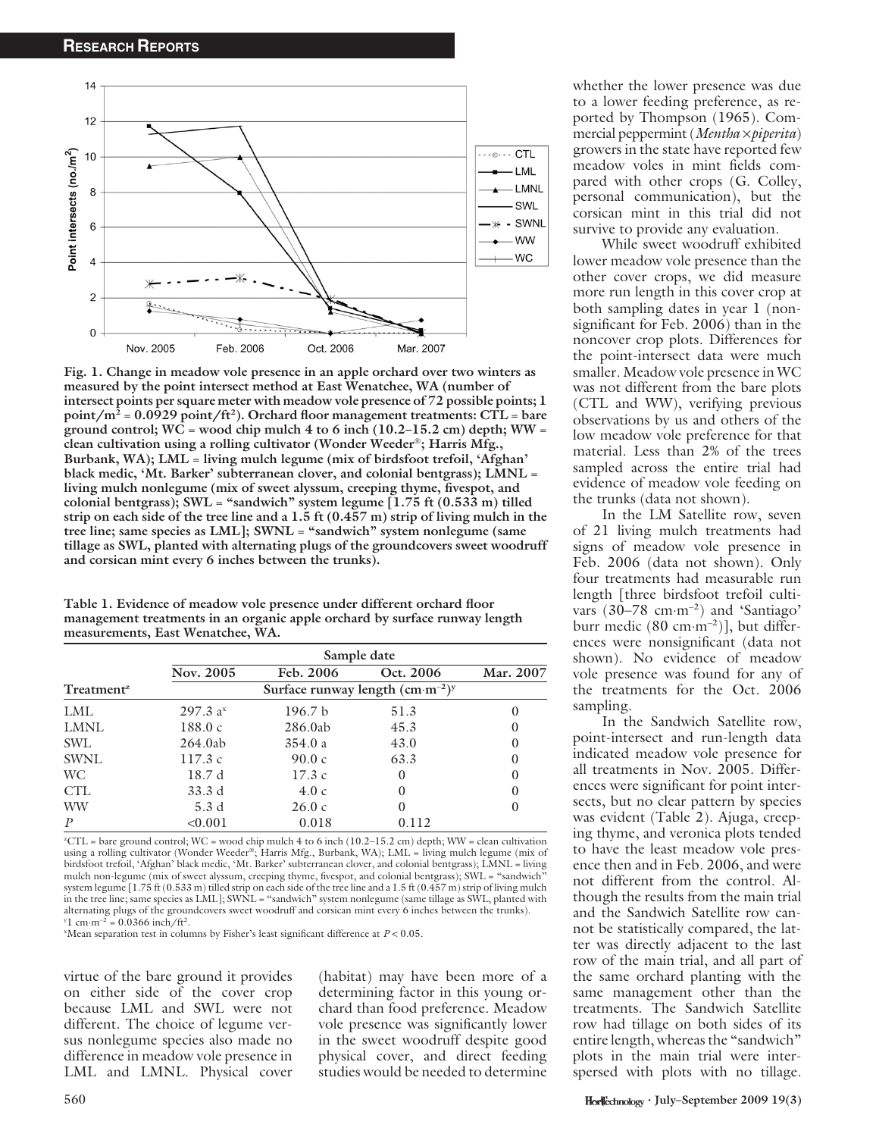

Fig. 1. Change in meadow vole presence in an apple orchard over two winters as measured by the point intersect method at East Wenatchee, WA (number of intersect points per square meter with meadow vole presence of 72 possible points; 1  $\text{point/m}^2$  = 0.0929  $\text{point/ft}^2$ ). Orchard floor management treatments: CTL = bare ground control;  $WC = wood$  chip mulch 4 to 6 inch (10.2–15.2 cm) depth;  $WW =$ clean cultivation using a rolling cultivator (Wonder Weeder®; Harris Mfg., Burbank, WA); LML = living mulch legume (mix of birdsfoot trefoil, 'Afghan' black medic, 'Mt. Barker' subterranean clover, and colonial bentgrass); LMNL = living mulch nonlegume (mix of sweet alyssum, creeping thyme, fivespot, and colonial bentgrass);  $SWL =$  "sandwich" system legume [1.75 ft (0.533 m) tilled strip on each side of the tree line and a 1.5 ft (0.457 m) strip of living mulch in the tree line; same species as LML]; SWNL = "sandwich" system nonlegume (same tillage as SWL, planted with alternating plugs of the groundcovers sweet woodruff and corsican mint every 6 inches between the trunks).

Table 1. Evidence of meadow vole presence under different orchard floor management treatments in an organic apple orchard by surface runway length measurements, East Wenatchee, WA.

|                        | Sample date          |                    |           |           |  |  |
|------------------------|----------------------|--------------------|-----------|-----------|--|--|
|                        | Nov. 2005            | Feb. 2006          | Oct. 2006 | Mar. 2007 |  |  |
| Treatment <sup>z</sup> |                      |                    |           |           |  |  |
| LML                    | 297.3 a <sup>x</sup> | 196.7 <sub>b</sub> | 51.3      | $\theta$  |  |  |
| LMNL                   | 188.0c               | 286.0ab            | 45.3      | $\Omega$  |  |  |
| <b>SWL</b>             | 264.0ab              | 354.0a             | 43.0      | $\Omega$  |  |  |
| <b>SWNL</b>            | 117.3c               | 90.0c              | 63.3      | $\Omega$  |  |  |
| WC.                    | 18.7 d               | 17.3c              | 0         | $\Omega$  |  |  |
| <b>CTL</b>             | 33.3 d               | 4.0c               | $\theta$  | $\Omega$  |  |  |
| <b>WW</b>              | 5.3d                 | 26.0c              | $\theta$  | $\Omega$  |  |  |
| $\boldsymbol{P}$       | < 0.001              | 0.018              | 0.112     |           |  |  |

z CTL = bare ground control; WC = wood chip mulch 4 to 6 inch (10.2–15.2 cm) depth; WW = clean cultivation using a rolling cultivator (Wonder Weeder®; Harris Mfg., Burbank, WA); LML = living mulch legume (mix of birdsfoot trefoil, 'Afghan' black medic, 'Mt. Barker' subterranean clover, and colonial bentgrass); LMNL = living mulch non-legume (mix of sweet alyssum, creeping thyme, fivespot, and colonial bentgrass); SWL = "sandwich system legume  $(1.75 \text{ ft} (0.533 \text{ m})$  tilled strip on each side of the tree line and a 1.5 ft  $(0.457 \text{ m})$  strip of living mulch in the tree line; same species as LML]; SWNL = ''sandwich'' system nonlegume (same tillage as SWL, planted with alternating plugs of the groundcovers sweet woodruff and corsican mint every 6 inches between the trunks).  $y_1$  cm·m<sup>-2</sup> = 0.0366 inch/ft<sup>2</sup>.

"Mean separation test in columns by Fisher's least significant difference at  $P < 0.05$ .

virtue of the bare ground it provides on either side of the cover crop because LML and SWL were not different. The choice of legume versus nonlegume species also made no difference in meadow vole presence in LML and LMNL. Physical cover

(habitat) may have been more of a determining factor in this young orchard than food preference. Meadow vole presence was significantly lower in the sweet woodruff despite good physical cover, and direct feeding studies would be needed to determine

whether the lower presence was due to a lower feeding preference, as reported by Thompson (1965). Commercial peppermint (Mentha  $\times$ piperita) growers in the state have reported few meadow voles in mint fields compared with other crops (G. Colley, personal communication), but the corsican mint in this trial did not survive to provide any evaluation.

While sweet woodruff exhibited lower meadow vole presence than the other cover crops, we did measure more run length in this cover crop at both sampling dates in year 1 (nonsignificant for Feb. 2006) than in the noncover crop plots. Differences for the point-intersect data were much smaller. Meadow vole presence in WC was not different from the bare plots (CTL and WW), verifying previous observations by us and others of the low meadow vole preference for that material. Less than 2% of the trees sampled across the entire trial had evidence of meadow vole feeding on the trunks (data not shown).

In the LM Satellite row, seven of 21 living mulch treatments had signs of meadow vole presence in Feb. 2006 (data not shown). Only four treatments had measurable run length [three birdsfoot trefoil cultivars (30–78 cm·m<sup>-2</sup>) and 'Santiago' burr medic (80 cm·m<sup>-2</sup>)], but differences were nonsignificant (data not shown). No evidence of meadow vole presence was found for any of the treatments for the Oct. 2006 sampling.

In the Sandwich Satellite row, point-intersect and run-length data indicated meadow vole presence for all treatments in Nov. 2005. Differences were significant for point intersects, but no clear pattern by species was evident (Table 2). Ajuga, creeping thyme, and veronica plots tended to have the least meadow vole presence then and in Feb. 2006, and were not different from the control. Although the results from the main trial and the Sandwich Satellite row cannot be statistically compared, the latter was directly adjacent to the last row of the main trial, and all part of the same orchard planting with the same management other than the treatments. The Sandwich Satellite row had tillage on both sides of its entire length, whereas the "sandwich" plots in the main trial were interspersed with plots with no tillage.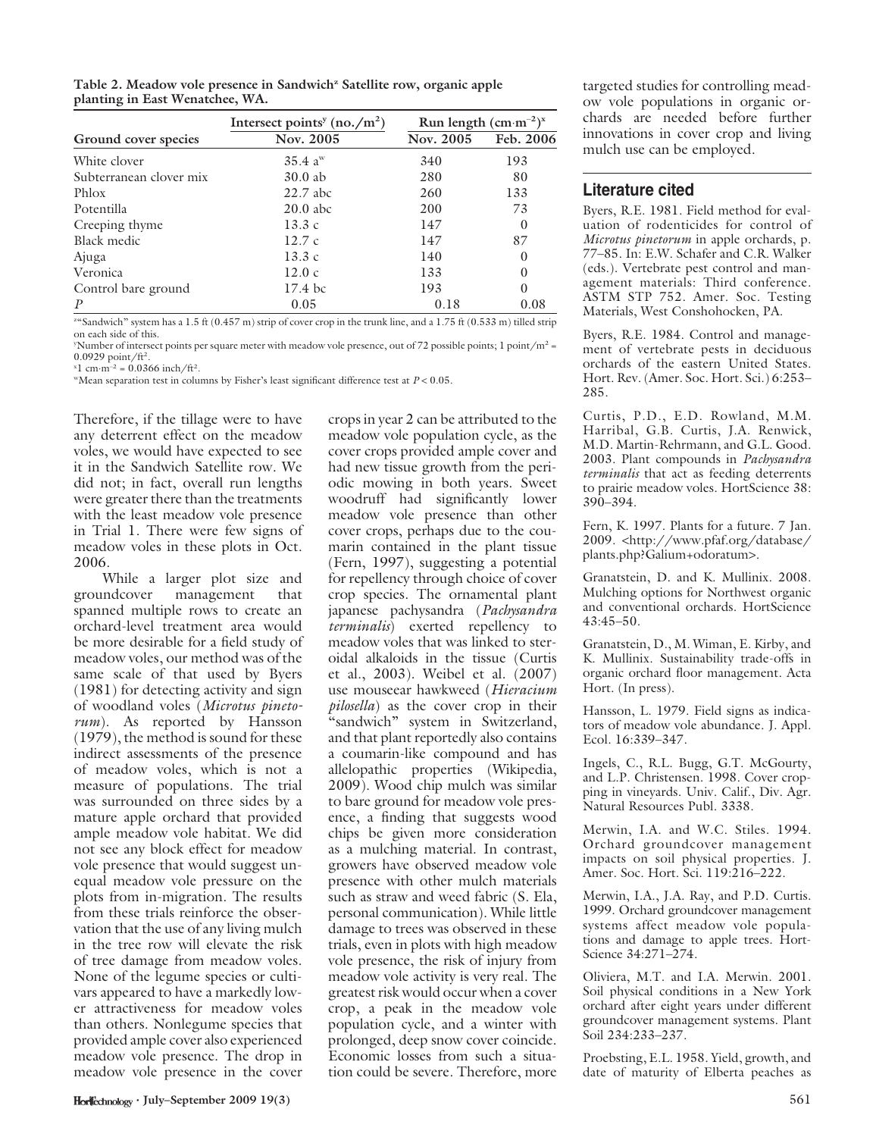Table 2. Meadow vole presence in Sandwich<sup>z</sup> Satellite row, organic apple planting in East Wenatchee, WA.

|                         | Intersect points <sup>y</sup> (no./m <sup>2</sup> ) | Run length $(cm·m-2)x$ |           |
|-------------------------|-----------------------------------------------------|------------------------|-----------|
| Ground cover species    | Nov. 2005                                           | Nov. 2005              | Feb. 2006 |
| White clover            | $35.4 \text{ a}^{\text{w}}$                         | 340                    | 193       |
| Subterranean clover mix | $30.0$ ab                                           | 280                    | 80        |
| Phlox                   | $22.7$ abc                                          | 260                    | 133       |
| Potentilla              | $20.0$ abc                                          | 200                    | 73        |
| Creeping thyme          | 13.3c                                               | 147                    | $\theta$  |
| Black medic             | 12.7c                                               | 147                    | 87        |
| Ajuga                   | 13.3c                                               | 140                    | $\Omega$  |
| Veronica                | 12.0c                                               | 133                    | $\Omega$  |
| Control bare ground     | $17.4~\mathrm{bc}$                                  | 193                    | $\theta$  |
| $\boldsymbol{P}$        | 0.05                                                | 0.18                   | 0.08      |

 $^{26}$ Sandwich" system has a  $1.5$  ft  $(0.457$  m) strip of cover crop in the trunk line, and a  $1.75$  ft  $(0.533$  m) tilled strip on each side of this.

 $y$ Number of intersect points per square meter with meadow vole presence, out of 72 possible points; 1 point/m<sup>2</sup> =  $0.0929$  point/ft<sup>2</sup>.

 $x_1$  cm·m<sup>-2</sup> = 0.0366 inch/ft<sup>2</sup>.

"Mean separation test in columns by Fisher's least significant difference test at  $P < 0.05$ .

Therefore, if the tillage were to have any deterrent effect on the meadow voles, we would have expected to see it in the Sandwich Satellite row. We did not; in fact, overall run lengths were greater there than the treatments with the least meadow vole presence in Trial 1. There were few signs of meadow voles in these plots in Oct. 2006.

While a larger plot size and groundcover management that spanned multiple rows to create an orchard-level treatment area would be more desirable for a field study of meadow voles, our method was of the same scale of that used by Byers (1981) for detecting activity and sign of woodland voles (Microtus pinetorum). As reported by Hansson (1979), the method is sound for these indirect assessments of the presence of meadow voles, which is not a measure of populations. The trial was surrounded on three sides by a mature apple orchard that provided ample meadow vole habitat. We did not see any block effect for meadow vole presence that would suggest unequal meadow vole pressure on the plots from in-migration. The results from these trials reinforce the observation that the use of any living mulch in the tree row will elevate the risk of tree damage from meadow voles. None of the legume species or cultivars appeared to have a markedly lower attractiveness for meadow voles than others. Nonlegume species that provided ample cover also experienced meadow vole presence. The drop in meadow vole presence in the cover

crops in year 2 can be attributed to the meadow vole population cycle, as the cover crops provided ample cover and had new tissue growth from the periodic mowing in both years. Sweet woodruff had significantly lower meadow vole presence than other cover crops, perhaps due to the coumarin contained in the plant tissue (Fern, 1997), suggesting a potential for repellency through choice of cover crop species. The ornamental plant japanese pachysandra (Pachysandra terminalis) exerted repellency to meadow voles that was linked to steroidal alkaloids in the tissue (Curtis et al., 2003). Weibel et al. (2007) use mouseear hawkweed (Hieracium pilosella) as the cover crop in their "sandwich" system in Switzerland, and that plant reportedly also contains a coumarin-like compound and has allelopathic properties (Wikipedia, 2009). Wood chip mulch was similar to bare ground for meadow vole presence, a finding that suggests wood chips be given more consideration as a mulching material. In contrast, growers have observed meadow vole presence with other mulch materials such as straw and weed fabric (S. Ela, personal communication). While little damage to trees was observed in these trials, even in plots with high meadow vole presence, the risk of injury from meadow vole activity is very real. The greatest risk would occur when a cover crop, a peak in the meadow vole population cycle, and a winter with prolonged, deep snow cover coincide. Economic losses from such a situation could be severe. Therefore, more

targeted studies for controlling meadow vole populations in organic orchards are needed before further innovations in cover crop and living mulch use can be employed.

## Literature cited

Byers, R.E. 1981. Field method for evaluation of rodenticides for control of Microtus pinetorum in apple orchards, p. 77–85. In: E.W. Schafer and C.R. Walker (eds.). Vertebrate pest control and management materials: Third conference. ASTM STP 752. Amer. Soc. Testing Materials, West Conshohocken, PA.

Byers, R.E. 1984. Control and management of vertebrate pests in deciduous orchards of the eastern United States. Hort. Rev. (Amer. Soc. Hort. Sci.) 6:253– 285.

Curtis, P.D., E.D. Rowland, M.M. Harribal, G.B. Curtis, J.A. Renwick, M.D. Martin-Rehrmann, and G.L. Good. 2003. Plant compounds in Pachysandra terminalis that act as feeding deterrents to prairie meadow voles. HortScience 38: 390–394.

Fern, K. 1997. Plants for a future. 7 Jan. 2009. <http://www.pfaf.org/database/ plants.php?Galium+odoratum>.

Granatstein, D. and K. Mullinix. 2008. Mulching options for Northwest organic and conventional orchards. HortScience 43:45–50.

Granatstein, D., M. Wiman, E. Kirby, and K. Mullinix. Sustainability trade-offs in organic orchard floor management. Acta Hort. (In press).

Hansson, L. 1979. Field signs as indicators of meadow vole abundance. J. Appl. Ecol. 16:339–347.

Ingels, C., R.L. Bugg, G.T. McGourty, and L.P. Christensen. 1998. Cover cropping in vineyards. Univ. Calif., Div. Agr. Natural Resources Publ. 3338.

Merwin, I.A. and W.C. Stiles. 1994. Orchard groundcover management impacts on soil physical properties. J. Amer. Soc. Hort. Sci. 119:216–222.

Merwin, I.A., J.A. Ray, and P.D. Curtis. 1999. Orchard groundcover management systems affect meadow vole populations and damage to apple trees. Hort-Science 34:271–274.

Oliviera, M.T. and I.A. Merwin. 2001. Soil physical conditions in a New York orchard after eight years under different groundcover management systems. Plant Soil 234:233-237.

Proebsting, E.L. 1958. Yield, growth, and date of maturity of Elberta peaches as